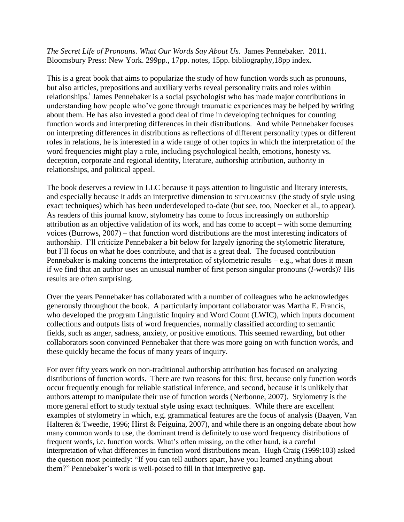*The Secret Life of Pronouns. What Our Words Say About Us.* James Pennebaker. 2011. Bloomsbury Press: New York. 299pp., 17pp. notes, 15pp. bibliography,18pp index.

This is a great book that aims to popularize the study of how function words such as pronouns, but also articles, prepositions and auxiliary verbs reveal personality traits and roles within relationships.<sup>i</sup> James Pennebaker is a social psychologist who has made major contributions in understanding how people who've gone through traumatic experiences may be helped by writing about them. He has also invested a good deal of time in developing techniques for counting function words and interpreting differences in their distributions. And while Pennebaker focuses on interpreting differences in distributions as reflections of different personality types or different roles in relations, he is interested in a wide range of other topics in which the interpretation of the word frequencies might play a role, including psychological health, emotions, honesty vs. deception, corporate and regional identity, literature, authorship attribution, authority in relationships, and political appeal.

The book deserves a review in LLC because it pays attention to linguistic and literary interests, and especially because it adds an interpretive dimension to STYLOMETRY (the study of style using exact techniques) which has been underdeveloped to-date (but see, too, Noecker et al., to appear). As readers of this journal know, stylometry has come to focus increasingly on authorship attribution as an objective validation of its work, and has come to accept – with some demurring voices (Burrows, 2007) – that function word distributions are the most interesting indicators of authorship. I'll criticize Pennebaker a bit below for largely ignoring the stylometric literature, but I'll focus on what he does contribute, and that is a great deal. The focused contribution Pennebaker is making concerns the interpretation of stylometric results  $-e.g.,$  what does it mean if we find that an author uses an unusual number of first person singular pronouns (*I*-words)? His results are often surprising.

Over the years Pennebaker has collaborated with a number of colleagues who he acknowledges generously throughout the book. A particularly important collaborator was Martha E. Francis, who developed the program Linguistic Inquiry and Word Count (LWIC), which inputs document collections and outputs lists of word frequencies, normally classified according to semantic fields, such as anger, sadness, anxiety, or positive emotions. This seemed rewarding, but other collaborators soon convinced Pennebaker that there was more going on with function words, and these quickly became the focus of many years of inquiry.

For over fifty years work on non-traditional authorship attribution has focused on analyzing distributions of function words. There are two reasons for this: first, because only function words occur frequently enough for reliable statistical inference, and second, because it is unlikely that authors attempt to manipulate their use of function words (Nerbonne, 2007). Stylometry is the more general effort to study textual style using exact techniques. While there are excellent examples of stylometry in which, e.g. grammatical features are the focus of analysis (Baayen, Van Halteren & Tweedie, 1996; Hirst & Feiguina, 2007), and while there is an ongoing debate about how many common words to use, the dominant trend is definitely to use word frequency distributions of frequent words, i.e. function words. What's often missing, on the other hand, is a careful interpretation of what differences in function word distributions mean. Hugh Craig (1999:103) asked the question most pointedly: "If you can tell authors apart, have you learned anything about them?" Pennebaker's work is well-poised to fill in that interpretive gap.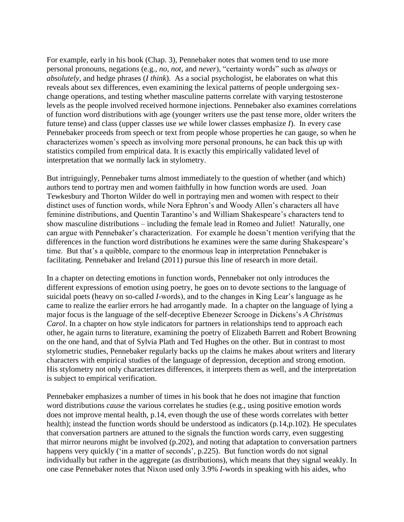For example, early in his book (Chap. 3), Pennebaker notes that women tend to use more personal pronouns, negations (e.g., *no, not,* and *never*), "certainty words" such as *always* or *absolutely*, and hedge phrases (*I think*). As a social psychologist, he elaborates on what this reveals about sex differences, even examining the lexical patterns of people undergoing sexchange operations, and testing whether masculine patterns correlate with varying testosterone levels as the people involved received hormone injections. Pennebaker also examines correlations of function word distributions with age (younger writers use the past tense more, older writers the future tense) and class (upper classes use *we* while lower classes emphasize *I*). In every case Pennebaker proceeds from speech or text from people whose properties he can gauge, so when he characterizes women's speech as involving more personal pronouns, he can back this up with statistics compiled from empirical data. It is exactly this empirically validated level of interpretation that we normally lack in stylometry.

But intriguingly, Pennebaker turns almost immediately to the question of whether (and which) authors tend to portray men and women faithfully in how function words are used. Joan Tewkesbury and Thorton Wilder do well in portraying men and women with respect to their distinct uses of function words, while Nora Ephron's and Woody Allen's characters all have feminine distributions, and Quentin Tarantino's and William Shakespeare's characters tend to show masculine distributions – including the female lead in Romeo and Juliet! Naturally, one can argue with Pennebaker's characterization. For example he doesn't mention verifying that the differences in the function word distributions he examines were the same during Shakespeare's time. But that's a quibble, compare to the enormous leap in interpretation Pennebaker is facilitating. Pennebaker and Ireland (2011) pursue this line of research in more detail.

In a chapter on detecting emotions in function words, Pennebaker not only introduces the different expressions of emotion using poetry, he goes on to devote sections to the language of suicidal poets (heavy on so-called *I*-words), and to the changes in King Lear's language as he came to realize the earlier errors he had arrogantly made. In a chapter on the language of lying a major focus is the language of the self-deceptive Ebenezer Scrooge in Dickens's *A Christmas Carol*. In a chapter on how style indicators for partners in relationships tend to approach each other, he again turns to literature, examining the poetry of Elizabeth Barrett and Robert Browning on the one hand, and that of Sylvia Plath and Ted Hughes on the other. But in contrast to most stylometric studies, Pennebaker regularly backs up the claims he makes about writers and literary characters with empirical studies of the language of depression, deception and strong emotion. His stylometry not only characterizes differences, it interprets them as well, and the interpretation is subject to empirical verification.

Pennebaker emphasizes a number of times in his book that he does not imagine that function word distributions *cause* the various correlates he studies (e.g., using positive emotion words does not improve mental health, p.14, even though the use of these words correlates with better health); instead the function words should be understood as indicators (p.14,p.102). He speculates that conversation partners are attuned to the signals the function words carry, even suggesting that mirror neurons might be involved (p.202), and noting that adaptation to conversation partners happens very quickly ('in a matter of seconds', p.225). But function words do not signal individually but rather in the aggregate (as distributions), which means that they signal weakly. In one case Pennebaker notes that Nixon used only 3.9% *I*-words in speaking with his aides, who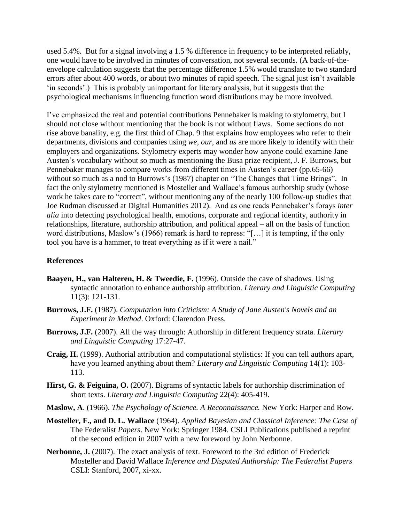used 5.4%. But for a signal involving a 1.5 % difference in frequency to be interpreted reliably, one would have to be involved in minutes of conversation, not several seconds. (A back-of-theenvelope calculation suggests that the percentage difference 1.5% would translate to two standard errors after about 400 words, or about two minutes of rapid speech. The signal just isn't available 'in seconds'.) This is probably unimportant for literary analysis, but it suggests that the psychological mechanisms influencing function word distributions may be more involved.

I've emphasized the real and potential contributions Pennebaker is making to stylometry, but I should not close without mentioning that the book is not without flaws. Some sections do not rise above banality, e.g. the first third of Chap. 9 that explains how employees who refer to their departments, divisions and companies using *we, our,* and *us* are more likely to identify with their employers and organizations. Stylometry experts may wonder how anyone could examine Jane Austen's vocabulary without so much as mentioning the Busa prize recipient, J. F. Burrows, but Pennebaker manages to compare works from different times in Austen's career (pp.65-66) without so much as a nod to Burrows's (1987) chapter on "The Changes that Time Brings". In fact the only stylometry mentioned is Mosteller and Wallace's famous authorship study (whose work he takes care to "correct", without mentioning any of the nearly 100 follow-up studies that Joe Rudman discussed at Digital Humanities 2012). And as one reads Pennebaker's forays *inter alia* into detecting psychological health, emotions, corporate and regional identity, authority in relationships, literature, authorship attribution, and political appeal – all on the basis of function word distributions, Maslow's (1966) remark is hard to repress: "[…] it is tempting, if the only tool you have is a hammer, to treat everything as if it were a nail."

## **References**

- **Baayen, H., van Halteren, H. & Tweedie, F.** (1996). Outside the cave of shadows. Using syntactic annotation to enhance authorship attribution. *Literary and Linguistic Computing* 11(3): 121-131.
- **Burrows, J.F.** (1987). *Computation into Criticism: A Study of Jane Austen's Novels and an Experiment in Method*. Oxford: Clarendon Press.
- **Burrows, J.F.** (2007). All the way through: Authorship in different frequency strata. *Literary and Linguistic Computing* 17:27-47.
- **Craig, H.** (1999). Authorial attribution and computational stylistics: If you can tell authors apart, have you learned anything about them? *Literary and Linguistic Computing* 14(1): 103- 113.
- **Hirst, G. & Feiguina, O.** (2007). Bigrams of syntactic labels for authorship discrimination of short texts. *Literary and Linguistic Computing* 22(4): 405-419.
- **Maslow, A**. (1966). *The Psychology of Science. A Reconnaissance.* New York: Harper and Row.
- **Mosteller, F., and D. L. Wallace** (1964). *Applied Bayesian and Classical Inference: The Case of* The Federalist *Papers*. New York: Springer 1984. CSLI Publications published a reprint of the second edition in 2007 with a new foreword by John Nerbonne.
- **Nerbonne, J.** (2007). The exact analysis of text. Foreword to the 3rd edition of Frederick Mosteller and David Wallace *Inference and Disputed Authorship: The Federalist Papers* CSLI: Stanford, 2007, xi-xx.